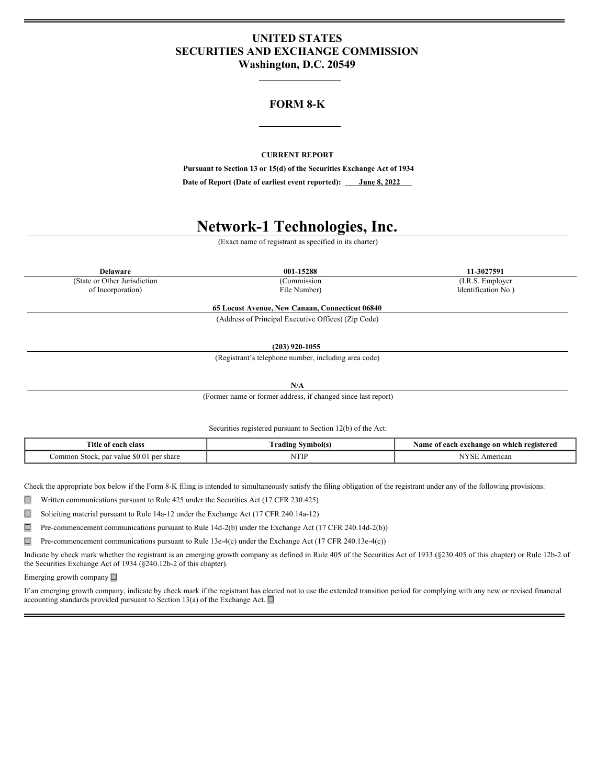# **UNITED STATES SECURITIES AND EXCHANGE COMMISSION Washington, D.C. 20549**

# **FORM 8-K**

## **CURRENT REPORT**

**Pursuant to Section 13 or 15(d) of the Securities Exchange Act of 1934**

**Date of Report (Date of earliest event reported): June 8, 2022**

# **Network-1 Technologies, Inc.**

(Exact name of registrant as specified in its charter)

(State or Other Jurisdiction (Commission (I.R.S. Employer of Incorporation) (I.R.S. Employer of Incorporation)

**Delaware 001-15288 11-3027591** Identification No.)

> **65 Locust Avenue, New Canaan, Connecticut 06840** (Address of Principal Executive Offices) (Zip Code)

> > **(203) 920-1055**

(Registrant's telephone number, including area code)

**N/A**

(Former name or former address, if changed since last report)

Securities registered pursuant to Section 12(b) of the Act:

| $\sim$<br>l'itle of<br>class<br>eact                                             | ⁄vmbol(s<br>radıns                                                           | registerea<br>ı which<br>: on<br>exchange<br>. vame |
|----------------------------------------------------------------------------------|------------------------------------------------------------------------------|-----------------------------------------------------|
| ∵share<br>.orr<br>ner<br>-par value<br>- 30 M<br>stock<br>ımor<br>$\cdot$ .<br>. | <b>TTI</b><br><b>IATH</b><br>the contract of the contract of the contract of | NTZ<br><sup>*</sup> rican<br>                       |

Check the appropriate box below if the Form 8-K filing is intended to simultaneously satisfy the filing obligation of the registrant under any of the following provisions:

☐ Written communications pursuant to Rule 425 under the Securities Act (17 CFR 230.425)

☐ Soliciting material pursuant to Rule 14a-12 under the Exchange Act (17 CFR 240.14a-12)

☐ Pre-commencement communications pursuant to Rule 14d-2(b) under the Exchange Act (17 CFR 240.14d-2(b))

 $\Box$  Pre-commencement communications pursuant to Rule 13e-4(c) under the Exchange Act (17 CFR 240.13e-4(c))

Indicate by check mark whether the registrant is an emerging growth company as defined in Rule 405 of the Securities Act of 1933 (§230.405 of this chapter) or Rule 12b-2 of the Securities Exchange Act of 1934 (§240.12b-2 of this chapter).

Emerging growth company ☐

If an emerging growth company, indicate by check mark if the registrant has elected not to use the extended transition period for complying with any new or revised financial accounting standards provided pursuant to Section 13(a) of the Exchange Act.  $\square$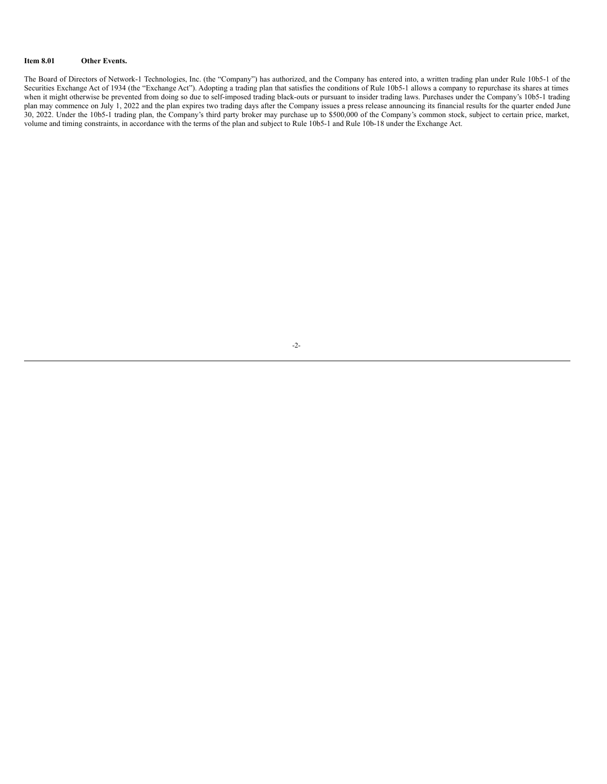## **Item 8.01 Other Events.**

The Board of Directors of Network-1 Technologies, Inc. (the "Company") has authorized, and the Company has entered into, a written trading plan under Rule 10b5-1 of the Securities Exchange Act of 1934 (the "Exchange Act"). Adopting a trading plan that satisfies the conditions of Rule 10b5-1 allows a company to repurchase its shares at times when it might otherwise be prevented from doing so due to self-imposed trading black-outs or pursuant to insider trading laws. Purchases under the Company's 10b5-1 trading plan may commence on July 1, 2022 and the plan expires two trading days after the Company issues a press release announcing its financial results for the quarter ended June 30, 2022. Under the 10b5-1 trading plan, the Company's third party broker may purchase up to \$500,000 of the Company's common stock, subject to certain price, market, volume and timing constraints, in accordance with the terms of the plan and subject to Rule 10b5-1 and Rule 10b-18 under the Exchange Act.